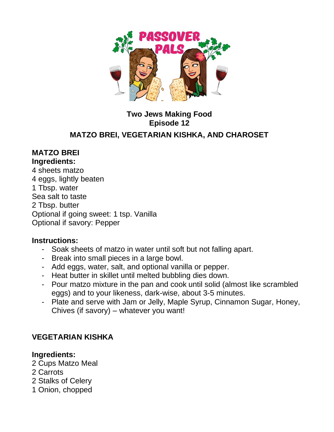

# **Two Jews Making Food Episode 12**

## **MATZO BREI, VEGETARIAN KISHKA, AND CHAROSET**

#### **MATZO BREI Ingredients:**

4 sheets matzo 4 eggs, lightly beaten 1 Tbsp. water Sea salt to taste 2 Tbsp. butter Optional if going sweet: 1 tsp. Vanilla Optional if savory: Pepper

### **Instructions:**

- Soak sheets of matzo in water until soft but not falling apart.
- Break into small pieces in a large bowl.
- Add eggs, water, salt, and optional vanilla or pepper.
- Heat butter in skillet until melted bubbling dies down.
- Pour matzo mixture in the pan and cook until solid (almost like scrambled eggs) and to your likeness, dark-wise, about 3-5 minutes.
- Plate and serve with Jam or Jelly, Maple Syrup, Cinnamon Sugar, Honey, Chives (if savory) – whatever you want!

## **VEGETARIAN KISHKA**

### **Ingredients:**

- 2 Cups Matzo Meal
- 2 Carrots
- 2 Stalks of Celery
- 1 Onion, chopped